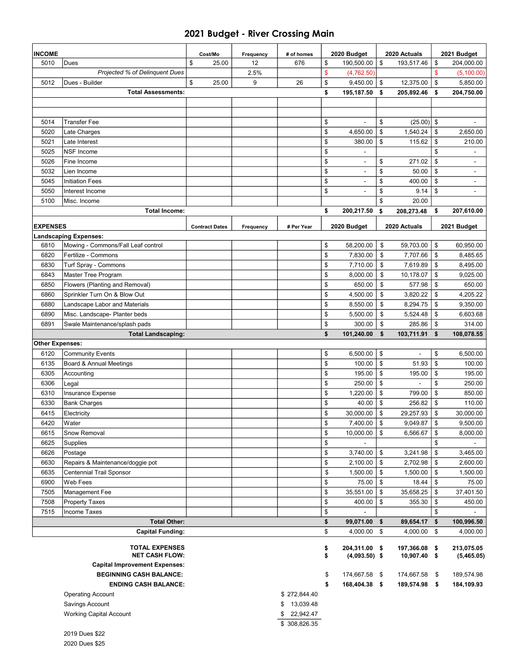#### 2021 Budget - River Crossing Main

| <b>INCOME</b>          |                                      | Cost/Mo               | Frequency | # of homes      | 2020 Budget                    |                | 2020 Actuals  |    | 2021 Budget              |
|------------------------|--------------------------------------|-----------------------|-----------|-----------------|--------------------------------|----------------|---------------|----|--------------------------|
| 5010                   | Dues                                 | \$<br>25.00           | 12        | 676             | \$<br>190,500.00               | \$             | 193,517.46    | \$ | 204,000.00               |
|                        | Projected % of Delinquent Dues       |                       | 2.5%      |                 | \$<br>(4,762.50)               |                |               | \$ | (5, 100.00)              |
| 5012                   | Dues - Builder                       | \$<br>25.00           | 9         | 26              | \$<br>9,450.00                 | \$             | 12,375.00     | \$ | 5,850.00                 |
|                        | <b>Total Assessments:</b>            |                       |           |                 | \$<br>195,187.50               | \$             | 205,892.46    | \$ | 204,750.00               |
|                        |                                      |                       |           |                 |                                |                |               |    |                          |
|                        |                                      |                       |           |                 |                                |                |               |    |                          |
| 5014                   | <b>Transfer Fee</b>                  |                       |           |                 | \$<br>$\blacksquare$           | \$             | (25.00)       | \$ |                          |
| 5020                   | Late Charges                         |                       |           |                 | \$<br>4,650.00                 | \$             | 1,540.24      | \$ | 2,650.00                 |
| 5021                   | Late Interest                        |                       |           |                 | \$<br>380.00                   | \$             | 115.62        | \$ | 210.00                   |
| 5025                   | <b>NSF</b> Income                    |                       |           |                 | \$                             |                |               | \$ |                          |
| 5026                   | Fine Income                          |                       |           |                 | \$<br>$\overline{\phantom{0}}$ | \$             | 271.02        | \$ |                          |
| 5032                   | Lien Income                          |                       |           |                 | \$<br>Ē,                       | \$             | 50.00         | \$ |                          |
| 5045                   | <b>Initiation Fees</b>               |                       |           |                 | \$<br>÷,                       | \$             | 400.00        | \$ | $\overline{\phantom{a}}$ |
| 5050                   | Interest Income                      |                       |           |                 | \$                             | \$             | 9.14          | \$ |                          |
| 5100                   | Misc. Income                         |                       |           |                 |                                | \$             | 20.00         |    |                          |
|                        | <b>Total Income:</b>                 |                       |           |                 | \$<br>200,217.50               | \$             | 208,273.48    | \$ | 207,610.00               |
|                        |                                      |                       |           |                 |                                |                |               |    |                          |
| <b>EXPENSES</b>        |                                      | <b>Contract Dates</b> | Frequency | # Per Year      | 2020 Budget                    |                | 2020 Actuals  |    | 2021 Budget              |
|                        | <b>Landscaping Expenses:</b>         |                       |           |                 |                                |                |               |    |                          |
| 6810                   | Mowing - Commons/Fall Leaf control   |                       |           |                 | \$<br>58,200.00                | \$             | 59,703.00     | \$ | 60,950.00                |
| 6820                   | Fertilize - Commons                  |                       |           |                 | \$<br>7,830.00                 | \$             | 7,707.66      | \$ | 8,485.65                 |
| 6830                   | Turf Spray - Commons                 |                       |           |                 | \$<br>7,710.00                 | \$             | 7,619.89      | \$ | 8,495.00                 |
| 6843                   | Master Tree Program                  |                       |           |                 | \$<br>8,000.00                 | \$             | 10,178.07     | \$ | 9,025.00                 |
| 6850                   | Flowers (Planting and Removal)       |                       |           |                 | \$<br>650.00                   | \$             | 577.98        | \$ | 650.00                   |
| 6860                   | Sprinkler Turn On & Blow Out         |                       |           |                 | \$<br>4,500.00                 | \$             | 3,820.22      | \$ | 4,205.22                 |
| 6880                   | Landscape Labor and Materials        |                       |           |                 | \$<br>8,550.00                 | \$             | 8,294.75      | \$ | 9,350.00                 |
| 6890                   | Misc. Landscape- Planter beds        |                       |           |                 | \$<br>5,500.00                 | \$             | 5,524.48      | \$ | 6,603.68                 |
| 6891                   | Swale Maintenance/splash pads        |                       |           |                 | \$<br>300.00                   | \$             | 285.86        | \$ | 314.00                   |
|                        | <b>Total Landscaping:</b>            |                       |           |                 | \$<br>101,240.00               | \$             | 103,711.91    | \$ | 108,078.55               |
| <b>Other Expenses:</b> |                                      |                       |           |                 |                                |                |               |    |                          |
| 6120                   | <b>Community Events</b>              |                       |           |                 | \$<br>6,500.00                 | \$             |               | \$ | 6,500.00                 |
| 6135                   | Board & Annual Meetings              |                       |           |                 | \$<br>100.00                   | \$             | 51.93         | \$ | 100.00                   |
| 6305                   | Accounting                           |                       |           |                 | \$<br>195.00                   | \$             | 195.00        | \$ | 195.00                   |
| 6306                   | Legal                                |                       |           |                 | \$<br>250.00                   | \$             |               | \$ | 250.00                   |
| 6310                   | Insurance Expense                    |                       |           |                 | \$<br>1,220.00                 | \$             | 799.00        | \$ | 850.00                   |
| 6330                   | <b>Bank Charges</b>                  |                       |           |                 | \$<br>40.00                    | \$             | 256.82        | \$ | 110.00                   |
| 6415                   | Electricity                          |                       |           |                 | \$<br>30,000.00                | \$             | 29,257.93     | \$ | 30,000.00                |
| 6420                   | Water                                |                       |           |                 | \$<br>7,400.00                 | \$             | 9,049.87      | \$ | 9,500.00                 |
| 6615                   | Snow Removal                         |                       |           |                 | \$<br>10,000.00                | \$             | 6,566.67      | \$ | 8,000.00                 |
| 6625                   | Supplies                             |                       |           |                 | \$                             |                |               | \$ |                          |
| 6626                   | Postage                              |                       |           |                 | \$<br>3,740.00                 | \$             | 3,241.98      | \$ | 3,465.00                 |
| 6630                   | Repairs & Maintenance/doggie pot     |                       |           |                 | \$<br>2,100.00                 | \$             | 2,702.98      | \$ | 2,600.00                 |
| 6635                   | <b>Centennial Trail Sponsor</b>      |                       |           |                 | \$<br>1,500.00                 | $\mathfrak{S}$ | 1,500.00      | \$ | 1,500.00                 |
| 6900                   | Web Fees                             |                       |           |                 | \$<br>75.00                    | \$             | 18.44         | \$ | 75.00                    |
| 7505                   | Management Fee                       |                       |           |                 | \$<br>35,551.00                | $\mathfrak{S}$ | 35,658.25     | \$ | 37,401.50                |
| 7508                   | <b>Property Taxes</b>                |                       |           |                 | \$<br>400.00                   | \$             | 355.30        | \$ | 450.00                   |
| 7515                   | <b>Income Taxes</b>                  |                       |           |                 | \$                             |                |               | \$ |                          |
|                        | <b>Total Other:</b>                  |                       |           |                 | \$<br>99,071.00                | \$             | 89,654.17     | \$ | 100,996.50               |
|                        | <b>Capital Funding:</b>              |                       |           |                 | \$<br>4,000.00                 | \$             | 4,000.00      | \$ | 4,000.00                 |
|                        | <b>TOTAL EXPENSES</b>                |                       |           |                 | \$<br>204,311.00 \$            |                | 197,366.08 \$ |    | 213,075.05               |
|                        | <b>NET CASH FLOW:</b>                |                       |           |                 | \$<br>$(4,093.50)$ \$          |                | 10,907.40 \$  |    | (5,465.05)               |
|                        | <b>Capital Improvement Expenses:</b> |                       |           |                 |                                |                |               |    |                          |
|                        | <b>BEGINNING CASH BALANCE:</b>       |                       |           |                 | \$<br>174,667.58 \$            |                | 174,667.58 \$ |    | 189,574.98               |
|                        | <b>ENDING CASH BALANCE:</b>          |                       |           |                 | \$<br>168,404.38 \$            |                | 189,574.98 \$ |    | 184,109.93               |
|                        | <b>Operating Account</b>             |                       |           | \$272,844.40    |                                |                |               |    |                          |
|                        | Savings Account                      |                       |           | 13,039.48<br>\$ |                                |                |               |    |                          |
|                        | <b>Working Capital Account</b>       |                       |           | \$<br>22,942.47 |                                |                |               |    |                          |
|                        |                                      |                       |           | \$308,826.35    |                                |                |               |    |                          |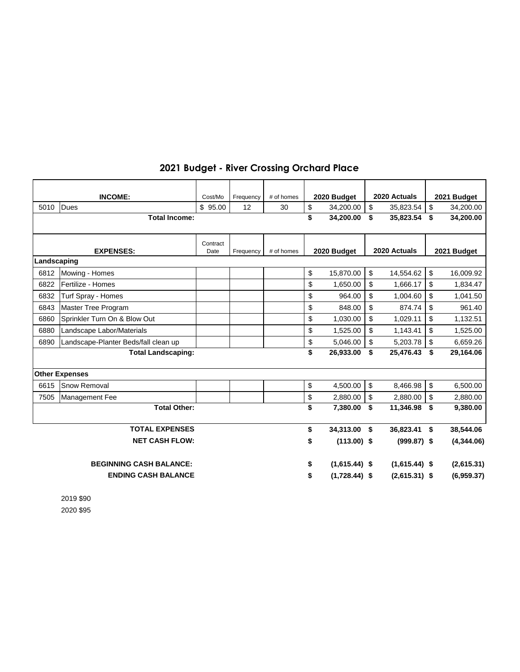### **2021 Budget - River Crossing Orchard Place**

|             | <b>INCOME:</b>                       | Cost/Mo  | Frequency | # of homes | 2020 Budget           |               | 2020 Actuals    |                         | 2021 Budget |
|-------------|--------------------------------------|----------|-----------|------------|-----------------------|---------------|-----------------|-------------------------|-------------|
| 5010        | <b>Dues</b>                          | \$95.00  | 12        | 30         | \$<br>34,200.00       | \$            | 35,823.54       | \$                      | 34,200.00   |
|             | <b>Total Income:</b>                 |          |           |            | \$<br>34,200.00       | \$            | 35,823.54       | -\$                     | 34,200.00   |
|             |                                      |          |           |            |                       |               |                 |                         |             |
|             |                                      | Contract |           |            |                       |               |                 |                         |             |
|             | <b>EXPENSES:</b>                     | Date     | Frequency | # of homes | 2020 Budget           |               | 2020 Actuals    |                         | 2021 Budget |
| Landscaping |                                      |          |           |            |                       |               |                 |                         |             |
| 6812        | Mowing - Homes                       |          |           |            | \$<br>15,870.00       | \$            | 14,554.62       | \$                      | 16,009.92   |
| 6822        | Fertilize - Homes                    |          |           |            | \$<br>1,650.00        | \$            | 1,666.17        | \$                      | 1,834.47    |
| 6832        | Turf Spray - Homes                   |          |           |            | \$<br>964.00          | \$            | 1,004.60        | \$                      | 1,041.50    |
| 6843        | <b>Master Tree Program</b>           |          |           |            | \$<br>848.00          | \$            | 874.74          | \$                      | 961.40      |
| 6860        | Sprinkler Turn On & Blow Out         |          |           |            | \$<br>1,030.00        | \$            | 1,029.11        | \$                      | 1,132.51    |
| 6880        | Landscape Labor/Materials            |          |           |            | \$<br>1,525.00        | \$            | 1,143.41        | \$                      | 1,525.00    |
| 6890        | Landscape-Planter Beds/fall clean up |          |           |            | \$<br>5,046.00        | \$            | 5,203.78        | \$                      | 6,659.26    |
|             | <b>Total Landscaping:</b>            |          |           |            | \$<br>26,933.00       | \$            | 25,476.43       | - \$                    | 29,164.06   |
|             |                                      |          |           |            |                       |               |                 |                         |             |
|             | <b>Other Expenses</b>                |          |           |            |                       |               |                 |                         |             |
| 6615        | <b>Snow Removal</b>                  |          |           |            | \$<br>4,500.00        | $\mathfrak s$ | 8,466.98        | $\sqrt[6]{\frac{1}{2}}$ | 6,500.00    |
| 7505        | Management Fee                       |          |           |            | \$<br>2,880.00        | \$            | 2,880.00        | \$                      | 2,880.00    |
|             | <b>Total Other:</b>                  |          |           |            | \$<br>7,380.00        | \$            | 11,346.98       | \$                      | 9,380.00    |
|             |                                      |          |           |            |                       |               |                 |                         |             |
|             | <b>TOTAL EXPENSES</b>                |          |           |            | \$<br>34,313.00       | \$            | 36,823.41       | -\$                     | 38,544.06   |
|             | <b>NET CASH FLOW:</b>                |          |           |            | \$<br>$(113.00)$ \$   |               | $(999.87)$ \$   |                         | (4,344.06)  |
|             |                                      |          |           |            |                       |               |                 |                         |             |
|             | <b>BEGINNING CASH BALANCE:</b>       |          |           |            | \$<br>$(1,615.44)$ \$ |               | $(1,615.44)$ \$ |                         | (2,615.31)  |
|             | <b>ENDING CASH BALANCE</b>           |          |           |            | \$<br>$(1,728.44)$ \$ |               | $(2,615.31)$ \$ |                         | (6,959.37)  |

2019 \$90 2020 \$95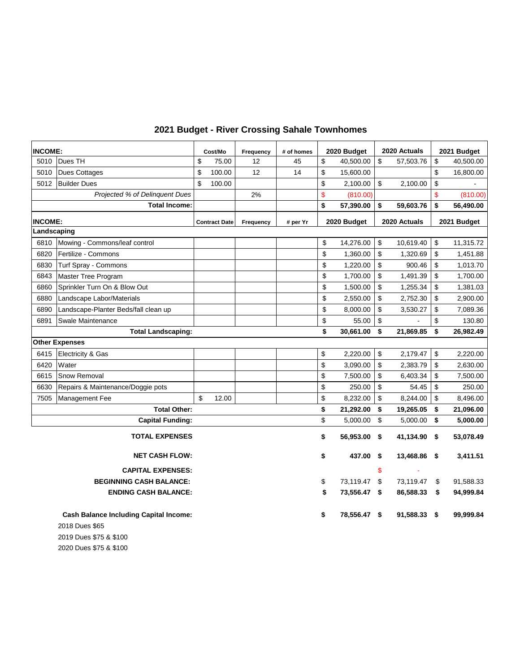| <b>INCOME:</b>            |                                               | Cost/Mo |                      | Frequency | # of homes | 2020 Budget |              |      | 2020 Actuals | 2021 Budget |             |  |
|---------------------------|-----------------------------------------------|---------|----------------------|-----------|------------|-------------|--------------|------|--------------|-------------|-------------|--|
| 5010                      | Dues TH                                       | \$      | 75.00                | 12        | 45         | \$          | 40,500.00    | \$   | 57,503.76    | \$          | 40,500.00   |  |
| 5010                      | <b>Dues Cottages</b>                          | \$      | 100.00               | 12        | 14         | \$          | 15,600.00    |      |              | \$          | 16,800.00   |  |
| 5012                      | <b>Builder Dues</b>                           | \$      | 100.00               |           |            | \$          | 2,100.00     | \$   | 2,100.00     | \$          |             |  |
|                           | Projected % of Delinquent Dues                |         |                      | 2%        |            | \$          | (810.00)     |      |              | \$          | (810.00)    |  |
|                           | <b>Total Income:</b>                          |         |                      |           |            | \$          | 57,390.00    | \$   | 59,603.76    | \$          | 56,490.00   |  |
| <b>INCOME:</b>            |                                               |         | <b>Contract Date</b> | Frequency | # per Yr   |             | 2020 Budget  |      | 2020 Actuals |             | 2021 Budget |  |
| Landscaping               |                                               |         |                      |           |            |             |              |      |              |             |             |  |
| 6810                      | Mowing - Commons/leaf control                 |         |                      |           |            | \$          | 14,276.00    | \$   | 10,619.40    | \$          | 11,315.72   |  |
| 6820                      | Fertilize - Commons                           |         |                      |           |            | \$          | 1,360.00     | \$   | 1,320.69     | \$          | 1,451.88    |  |
| 6830                      | Turf Spray - Commons                          |         |                      |           |            | \$          | 1,220.00     | \$   | 900.46       | \$          | 1,013.70    |  |
| 6843                      | Master Tree Program                           |         |                      |           |            | \$          | 1,700.00     | \$   | 1,491.39     | \$          | 1,700.00    |  |
| 6860                      | Sprinkler Turn On & Blow Out                  |         |                      |           |            | \$          | 1,500.00     | \$   | 1,255.34     | \$          | 1,381.03    |  |
| 6880                      | Landscape Labor/Materials                     |         |                      |           |            | \$          | 2,550.00     | \$   | 2,752.30     | \$          | 2,900.00    |  |
| 6890                      | Landscape-Planter Beds/fall clean up          |         |                      |           |            | \$          | 8,000.00     | \$   | 3,530.27     | \$          | 7,089.36    |  |
| 6891                      | Swale Maintenance                             |         |                      |           |            | \$          | 55.00        | \$   |              | \$          | 130.80      |  |
| <b>Total Landscaping:</b> |                                               |         |                      |           |            | \$          | 30,661.00    | \$   | 21,869.85    | \$          | 26,982.49   |  |
|                           | <b>Other Expenses</b>                         |         |                      |           |            |             |              |      |              |             |             |  |
| 6415                      | Electricity & Gas                             |         |                      |           |            | \$          | 2,220.00     | \$   | 2,179.47     | \$          | 2,220.00    |  |
| 6420                      | Water                                         |         |                      |           |            | \$          | 3,090.00     | \$   | 2,383.79     | \$          | 2,630.00    |  |
| 6615                      | Snow Removal                                  |         |                      |           |            | \$          | 7,500.00     | \$   | 6,403.34     | \$          | 7,500.00    |  |
| 6630                      | Repairs & Maintenance/Doggie pots             |         |                      |           |            | \$          | 250.00       | \$   | 54.45        | \$          | 250.00      |  |
| 7505                      | Management Fee                                | \$      | 12.00                |           |            | \$          | 8,232.00     | \$   | 8,244.00     | \$          | 8,496.00    |  |
|                           | <b>Total Other:</b>                           |         |                      |           |            | \$          | 21,292.00    | \$   | 19,265.05    | \$          | 21,096.00   |  |
|                           | <b>Capital Funding:</b>                       |         |                      |           |            | \$          | 5,000.00     | \$   | 5,000.00     | \$          | 5,000.00    |  |
|                           | <b>TOTAL EXPENSES</b>                         |         |                      |           |            | \$          | 56,953.00    | \$   | 41,134.90 \$ |             | 53,078.49   |  |
|                           | <b>NET CASH FLOW:</b>                         |         |                      |           |            | \$          | 437.00       | - \$ | 13,468.86 \$ |             | 3,411.51    |  |
|                           | <b>CAPITAL EXPENSES:</b>                      |         |                      |           |            |             |              | \$   |              |             |             |  |
|                           | <b>BEGINNING CASH BALANCE:</b>                |         |                      |           |            | \$          | 73,119.47 \$ |      | 73,119.47    | \$          | 91,588.33   |  |
|                           | <b>ENDING CASH BALANCE:</b>                   |         |                      |           |            | \$          | 73,556.47 \$ |      | 86,588.33    | \$          | 94,999.84   |  |
|                           | <b>Cash Balance Including Capital Income:</b> |         |                      |           |            | \$          | 78,556.47 \$ |      | 91,588.33 \$ |             | 99,999.84   |  |
|                           | 2018 Dues \$65                                |         |                      |           |            |             |              |      |              |             |             |  |

#### **2021 Budget - River Crossing Sahale Townhomes**

2019 Dues \$75 & \$100

2020 Dues \$75 & \$100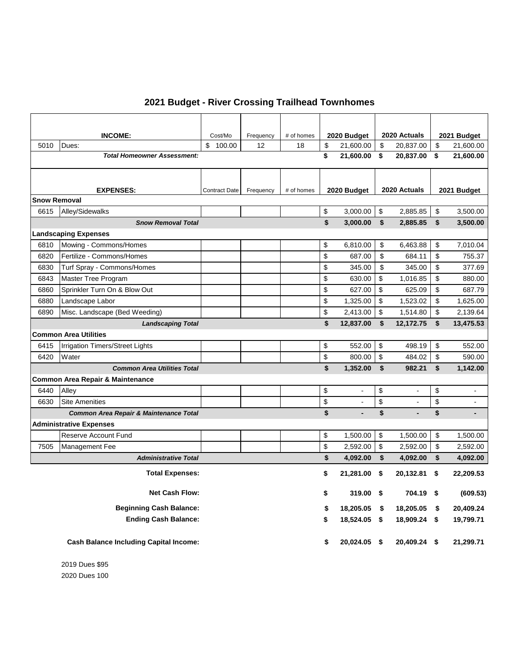|  |  |  |  |  | 2021 Budget - River Crossing Trailhead Townhomes |
|--|--|--|--|--|--------------------------------------------------|
|--|--|--|--|--|--------------------------------------------------|

|                     | <b>INCOME:</b>                                    | Cost/Mo              | Frequency | # of homes | 2020 Budget          | 2020 Actuals              |                | 2021 Budget          |
|---------------------|---------------------------------------------------|----------------------|-----------|------------|----------------------|---------------------------|----------------|----------------------|
| 5010                | Dues:                                             | \$100.00             | 12        | 18         | \$<br>21,600.00      | \$                        | 20,837.00      | \$<br>21,600.00      |
|                     | <b>Total Homeowner Assessment:</b>                |                      |           |            | \$<br>21,600.00      | \$                        | 20,837.00      | \$<br>21,600.00      |
|                     |                                                   |                      |           |            |                      |                           |                |                      |
|                     |                                                   |                      |           |            |                      |                           |                |                      |
| <b>Snow Removal</b> | <b>EXPENSES:</b>                                  | <b>Contract Date</b> | Frequency | # of homes | 2020 Budget          |                           | 2020 Actuals   | 2021 Budget          |
| 6615                | Alley/Sidewalks                                   |                      |           |            | \$<br>3,000.00       | \$                        | 2,885.85       | \$<br>3,500.00       |
|                     | <b>Snow Removal Total</b>                         |                      |           |            | \$<br>3,000.00       | \$                        | 2,885.85       | \$<br>3,500.00       |
|                     | <b>Landscaping Expenses</b>                       |                      |           |            |                      |                           |                |                      |
| 6810                | Mowing - Commons/Homes                            |                      |           |            | \$<br>6,810.00       | \$                        | 6,463.88       | \$<br>7,010.04       |
| 6820                | Fertilize - Commons/Homes                         |                      |           |            | \$<br>687.00         | \$                        | 684.11         | \$<br>755.37         |
| 6830                | Turf Spray - Commons/Homes                        |                      |           |            | \$<br>345.00         | \$                        | 345.00         | \$<br>377.69         |
| 6843                | Master Tree Program                               |                      |           |            | \$<br>630.00         | \$                        | 1,016.85       | \$<br>880.00         |
| 6860                | Sprinkler Turn On & Blow Out                      |                      |           |            | \$<br>627.00         | \$                        | 625.09         | \$<br>687.79         |
| 6880                | Landscape Labor                                   |                      |           |            | \$<br>1,325.00       | \$                        | 1,523.02       | \$<br>1,625.00       |
| 6890                | Misc. Landscape (Bed Weeding)                     |                      |           |            | \$<br>2,413.00       | \$                        | 1,514.80       | \$<br>2,139.64       |
|                     | <b>Landscaping Total</b>                          |                      |           |            | \$<br>12,837.00      | \$                        | 12,172.75      | \$<br>13,475.53      |
|                     | <b>Common Area Utilities</b>                      |                      |           |            |                      |                           |                |                      |
| 6415                | Irrigation Timers/Street Lights                   |                      |           |            | \$<br>552.00         | \$                        | 498.19         | \$<br>552.00         |
| 6420                | Water                                             |                      |           |            | \$<br>800.00         | $\boldsymbol{\mathsf{S}}$ | 484.02         | \$<br>590.00         |
|                     | <b>Common Area Utilities Total</b>                |                      |           |            | \$<br>1,352.00       | \$                        | 982.21         | \$<br>1,142.00       |
|                     | <b>Common Area Repair &amp; Maintenance</b>       |                      |           |            |                      |                           |                |                      |
| 6440                | Alley                                             |                      |           |            | \$<br>L.             | \$                        | $\blacksquare$ | \$<br>$\sim$         |
| 6630                | <b>Site Amenities</b>                             |                      |           |            | \$<br>L.             | \$                        | $\blacksquare$ | \$<br>$\sim$         |
|                     | <b>Common Area Repair &amp; Maintenance Total</b> |                      |           |            | \$<br>$\blacksquare$ | \$                        | $\blacksquare$ | \$<br>$\blacksquare$ |
|                     | <b>Administrative Expenses</b>                    |                      |           |            |                      |                           |                |                      |
|                     | Reserve Account Fund                              |                      |           |            | \$<br>1,500.00       | \$                        | 1,500.00       | \$<br>1,500.00       |
| 7505                | Management Fee                                    |                      |           |            | \$<br>2,592.00       | \$                        | 2,592.00       | \$<br>2,592.00       |
|                     | <b>Administrative Total</b>                       |                      |           |            | \$<br>4,092.00       | \$                        | 4,092.00       | \$<br>4,092.00       |
|                     | <b>Total Expenses:</b>                            |                      |           |            | \$<br>21,281.00      | \$                        | 20,132.81      | \$<br>22,209.53      |
|                     | <b>Net Cash Flow:</b>                             |                      |           |            | \$<br>319.00         | \$                        | 704.19 \$      | (609.53)             |
|                     | <b>Beginning Cash Balance:</b>                    |                      |           |            | \$<br>18,205.05      | \$                        | 18,205.05      | \$<br>20,409.24      |
|                     | <b>Ending Cash Balance:</b>                       |                      |           |            | \$<br>18,524.05 \$   |                           | 18,909.24 \$   | 19,799.71            |
|                     | <b>Cash Balance Including Capital Income:</b>     |                      |           |            | \$<br>20,024.05 \$   |                           | 20,409.24 \$   | 21,299.71            |

2019 Dues \$95 2020 Dues 100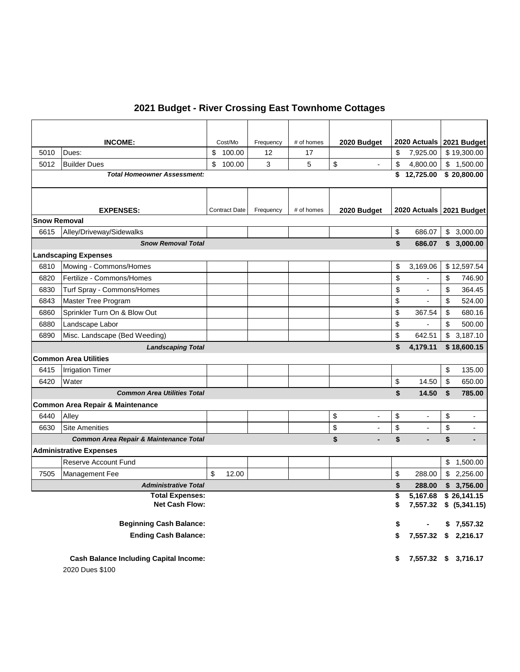## **2021 Budget - River Crossing East Townhome Cottages**

|                                             | <b>INCOME:</b>                                    | Cost/Mo              | Frequency | # of homes | 2020 Budget                    |          | 2020 Actuals 2021 Budget |    |                                                     |
|---------------------------------------------|---------------------------------------------------|----------------------|-----------|------------|--------------------------------|----------|--------------------------|----|-----------------------------------------------------|
| 5010                                        | Dues:                                             | \$<br>100.00         | 12        | 17         |                                | \$       | 7,925.00                 |    | \$19,300.00                                         |
| 5012                                        | <b>Builder Dues</b>                               | \$<br>100.00         | 3         | 5          | \$                             | \$       | 4,800.00                 |    | \$1,500.00                                          |
|                                             | <b>Total Homeowner Assessment:</b>                |                      |           |            |                                | \$       | 12,725.00                |    | \$20,800.00                                         |
|                                             |                                                   |                      |           |            |                                |          |                          |    |                                                     |
|                                             |                                                   |                      |           |            |                                |          |                          |    |                                                     |
|                                             | <b>EXPENSES:</b>                                  | <b>Contract Date</b> | Frequency | # of homes | 2020 Budget                    |          | 2020 Actuals 2021 Budget |    |                                                     |
| <b>Snow Removal</b>                         |                                                   |                      |           |            |                                |          |                          |    |                                                     |
| 6615                                        | Alley/Driveway/Sidewalks                          |                      |           |            |                                | \$       | 686.07                   |    | \$3,000.00                                          |
|                                             | <b>Snow Removal Total</b>                         |                      |           |            |                                | \$       | 686.07                   |    | \$3,000.00                                          |
|                                             | <b>Landscaping Expenses</b>                       |                      |           |            |                                |          |                          |    |                                                     |
| 6810                                        | Mowing - Commons/Homes                            |                      |           |            |                                | \$       | 3,169.06                 |    | \$12,597.54                                         |
| 6820                                        | Fertilize - Commons/Homes                         |                      |           |            |                                | \$       |                          | \$ | 746.90                                              |
| 6830                                        | Turf Spray - Commons/Homes                        |                      |           |            |                                | \$       | $\overline{\phantom{a}}$ | \$ | 364.45                                              |
| 6843                                        | Master Tree Program                               |                      |           |            |                                | \$       | $\blacksquare$           | \$ | 524.00                                              |
| 6860                                        | Sprinkler Turn On & Blow Out                      |                      |           |            |                                | \$       | 367.54                   | \$ | 680.16                                              |
| 6880                                        | Landscape Labor                                   |                      |           |            |                                | \$       | $\overline{a}$           | \$ | 500.00                                              |
| 6890                                        | Misc. Landscape (Bed Weeding)                     |                      |           |            |                                | \$       | 642.51                   |    | \$3,187.10                                          |
|                                             | <b>Landscaping Total</b>                          |                      |           |            |                                | \$       | 4,179.11                 |    | \$18,600.15                                         |
|                                             | <b>Common Area Utilities</b>                      |                      |           |            |                                |          |                          |    |                                                     |
| 6415                                        | <b>Irrigation Timer</b>                           |                      |           |            |                                |          |                          | \$ | 135.00                                              |
| 6420                                        | Water                                             |                      |           |            |                                | \$       | 14.50                    | \$ | 650.00                                              |
|                                             | <b>Common Area Utilities Total</b>                |                      |           |            |                                | \$       | 14.50                    | \$ | 785.00                                              |
|                                             | <b>Common Area Repair &amp; Maintenance</b>       |                      |           |            |                                |          |                          |    |                                                     |
| 6440                                        | Alley                                             |                      |           |            | \$<br>$\overline{\phantom{a}}$ | \$       | $\overline{\phantom{a}}$ | \$ | $\overline{\phantom{a}}$                            |
| 6630                                        | <b>Site Amenities</b>                             |                      |           |            | \$                             | \$       |                          | \$ | $\blacksquare$                                      |
|                                             | <b>Common Area Repair &amp; Maintenance Total</b> |                      |           |            | \$                             | \$       |                          | \$ |                                                     |
|                                             | <b>Administrative Expenses</b>                    |                      |           |            |                                |          |                          |    |                                                     |
|                                             | <b>Reserve Account Fund</b>                       |                      |           |            |                                |          |                          |    | \$1,500.00                                          |
| 7505                                        | Management Fee                                    | \$<br>12.00          |           |            |                                | \$       | 288.00                   |    | \$2,256.00<br>\$3,756.00                            |
| <b>Administrative Total</b><br>\$<br>288.00 |                                                   |                      |           |            |                                |          |                          |    |                                                     |
|                                             | <b>Total Expenses:</b><br>Net Cash Flow:          |                      |           |            |                                | \$<br>\$ | 5,167.68                 |    | $\overline{\$}$ 26,141.15<br>7,557.32 \$ (5,341.15) |
|                                             |                                                   |                      |           |            |                                |          |                          |    |                                                     |
|                                             | <b>Beginning Cash Balance:</b>                    |                      |           |            |                                | \$       |                          |    | \$7,557.32                                          |
|                                             | <b>Ending Cash Balance:</b>                       |                      |           |            |                                | \$       | 7,557.32 \$ 2,216.17     |    |                                                     |
|                                             |                                                   |                      |           |            |                                |          |                          |    |                                                     |
|                                             | <b>Cash Balance Including Capital Income:</b>     |                      |           |            |                                | \$       |                          |    | 7,557.32 \$ 3,716.17                                |
|                                             | 2020 Dues \$100                                   |                      |           |            |                                |          |                          |    |                                                     |